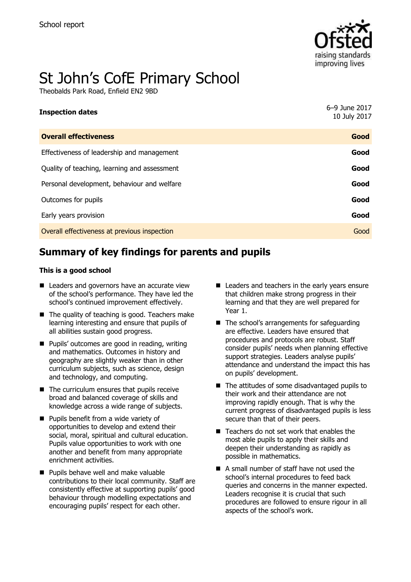

# St John's CofE Primary School

Theobalds Park Road, Enfield EN2 9BD

| <b>Inspection dates</b>                      | 6-9 June 2017<br>10 July 2017 |
|----------------------------------------------|-------------------------------|
| <b>Overall effectiveness</b>                 | Good                          |
| Effectiveness of leadership and management   | Good                          |
| Quality of teaching, learning and assessment | Good                          |
| Personal development, behaviour and welfare  | Good                          |
| Outcomes for pupils                          | Good                          |
| Early years provision                        | Good                          |
| Overall effectiveness at previous inspection | Good                          |

# **Summary of key findings for parents and pupils**

#### **This is a good school**

- Leaders and governors have an accurate view of the school's performance. They have led the school's continued improvement effectively.
- $\blacksquare$  The quality of teaching is good. Teachers make learning interesting and ensure that pupils of all abilities sustain good progress.
- **Pupils' outcomes are good in reading, writing** and mathematics. Outcomes in history and geography are slightly weaker than in other curriculum subjects, such as science, design and technology, and computing.
- $\blacksquare$  The curriculum ensures that pupils receive broad and balanced coverage of skills and knowledge across a wide range of subjects.
- **Pupils benefit from a wide variety of** opportunities to develop and extend their social, moral, spiritual and cultural education. Pupils value opportunities to work with one another and benefit from many appropriate enrichment activities.
- **Pupils behave well and make valuable** contributions to their local community. Staff are consistently effective at supporting pupils' good behaviour through modelling expectations and encouraging pupils' respect for each other.
- Leaders and teachers in the early years ensure that children make strong progress in their learning and that they are well prepared for Year 1.
- $\blacksquare$  The school's arrangements for safeguarding are effective. Leaders have ensured that procedures and protocols are robust. Staff consider pupils' needs when planning effective support strategies. Leaders analyse pupils' attendance and understand the impact this has on pupils' development.
- $\blacksquare$  The attitudes of some disadvantaged pupils to their work and their attendance are not improving rapidly enough. That is why the current progress of disadvantaged pupils is less secure than that of their peers.
- Teachers do not set work that enables the most able pupils to apply their skills and deepen their understanding as rapidly as possible in mathematics.
- A small number of staff have not used the school's internal procedures to feed back queries and concerns in the manner expected. Leaders recognise it is crucial that such procedures are followed to ensure rigour in all aspects of the school's work.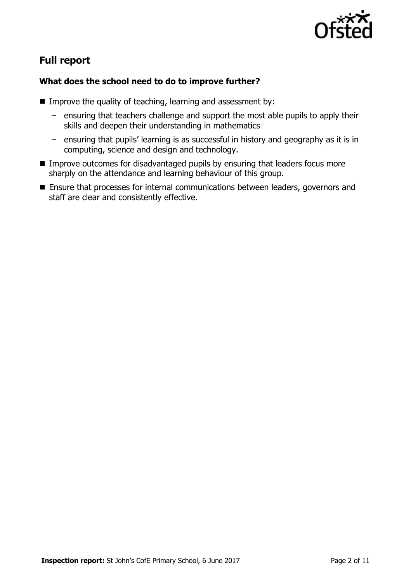

# **Full report**

### **What does the school need to do to improve further?**

- Improve the quality of teaching, learning and assessment by:
	- ensuring that teachers challenge and support the most able pupils to apply their skills and deepen their understanding in mathematics
	- ensuring that pupils' learning is as successful in history and geography as it is in computing, science and design and technology.
- **IMPROVE OUTCOMES for disadvantaged pupils by ensuring that leaders focus more** sharply on the attendance and learning behaviour of this group.
- Ensure that processes for internal communications between leaders, governors and staff are clear and consistently effective.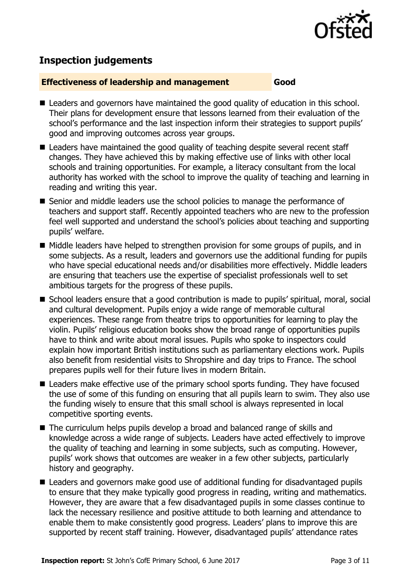

# **Inspection judgements**

#### **Effectiveness of leadership and management Good**

- Leaders and governors have maintained the good quality of education in this school. Their plans for development ensure that lessons learned from their evaluation of the school's performance and the last inspection inform their strategies to support pupils' good and improving outcomes across year groups.
- Leaders have maintained the good quality of teaching despite several recent staff changes. They have achieved this by making effective use of links with other local schools and training opportunities. For example, a literacy consultant from the local authority has worked with the school to improve the quality of teaching and learning in reading and writing this year.
- Senior and middle leaders use the school policies to manage the performance of teachers and support staff. Recently appointed teachers who are new to the profession feel well supported and understand the school's policies about teaching and supporting pupils' welfare.
- Middle leaders have helped to strengthen provision for some groups of pupils, and in some subjects. As a result, leaders and governors use the additional funding for pupils who have special educational needs and/or disabilities more effectively. Middle leaders are ensuring that teachers use the expertise of specialist professionals well to set ambitious targets for the progress of these pupils.
- School leaders ensure that a good contribution is made to pupils' spiritual, moral, social and cultural development. Pupils enjoy a wide range of memorable cultural experiences. These range from theatre trips to opportunities for learning to play the violin. Pupils' religious education books show the broad range of opportunities pupils have to think and write about moral issues. Pupils who spoke to inspectors could explain how important British institutions such as parliamentary elections work. Pupils also benefit from residential visits to Shropshire and day trips to France. The school prepares pupils well for their future lives in modern Britain.
- Leaders make effective use of the primary school sports funding. They have focused the use of some of this funding on ensuring that all pupils learn to swim. They also use the funding wisely to ensure that this small school is always represented in local competitive sporting events.
- The curriculum helps pupils develop a broad and balanced range of skills and knowledge across a wide range of subjects. Leaders have acted effectively to improve the quality of teaching and learning in some subjects, such as computing. However, pupils' work shows that outcomes are weaker in a few other subjects, particularly history and geography.
- Leaders and governors make good use of additional funding for disadvantaged pupils to ensure that they make typically good progress in reading, writing and mathematics. However, they are aware that a few disadvantaged pupils in some classes continue to lack the necessary resilience and positive attitude to both learning and attendance to enable them to make consistently good progress. Leaders' plans to improve this are supported by recent staff training. However, disadvantaged pupils' attendance rates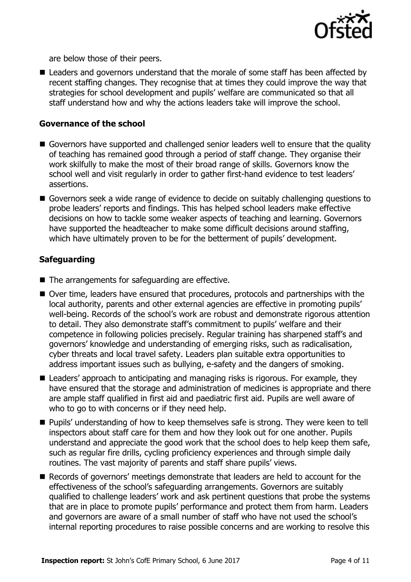

are below those of their peers.

■ Leaders and governors understand that the morale of some staff has been affected by recent staffing changes. They recognise that at times they could improve the way that strategies for school development and pupils' welfare are communicated so that all staff understand how and why the actions leaders take will improve the school.

#### **Governance of the school**

- Governors have supported and challenged senior leaders well to ensure that the quality of teaching has remained good through a period of staff change. They organise their work skilfully to make the most of their broad range of skills. Governors know the school well and visit regularly in order to gather first-hand evidence to test leaders' assertions.
- Governors seek a wide range of evidence to decide on suitably challenging questions to probe leaders' reports and findings. This has helped school leaders make effective decisions on how to tackle some weaker aspects of teaching and learning. Governors have supported the headteacher to make some difficult decisions around staffing, which have ultimately proven to be for the betterment of pupils' development.

#### **Safeguarding**

- $\blacksquare$  The arrangements for safeguarding are effective.
- Over time, leaders have ensured that procedures, protocols and partnerships with the local authority, parents and other external agencies are effective in promoting pupils' well-being. Records of the school's work are robust and demonstrate rigorous attention to detail. They also demonstrate staff's commitment to pupils' welfare and their competence in following policies precisely. Regular training has sharpened staff's and governors' knowledge and understanding of emerging risks, such as radicalisation, cyber threats and local travel safety. Leaders plan suitable extra opportunities to address important issues such as bullying, e-safety and the dangers of smoking.
- Leaders' approach to anticipating and managing risks is rigorous. For example, they have ensured that the storage and administration of medicines is appropriate and there are ample staff qualified in first aid and paediatric first aid. Pupils are well aware of who to go to with concerns or if they need help.
- **Pupils' understanding of how to keep themselves safe is strong. They were keen to tell** inspectors about staff care for them and how they look out for one another. Pupils understand and appreciate the good work that the school does to help keep them safe, such as regular fire drills, cycling proficiency experiences and through simple daily routines. The vast majority of parents and staff share pupils' views.
- Records of governors' meetings demonstrate that leaders are held to account for the effectiveness of the school's safeguarding arrangements. Governors are suitably qualified to challenge leaders' work and ask pertinent questions that probe the systems that are in place to promote pupils' performance and protect them from harm. Leaders and governors are aware of a small number of staff who have not used the school's internal reporting procedures to raise possible concerns and are working to resolve this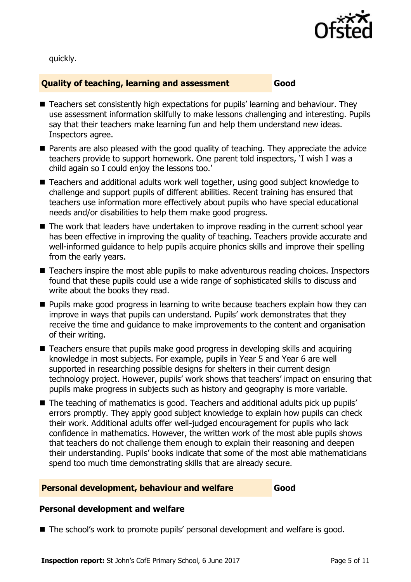

quickly.

#### **Quality of teaching, learning and assessment Good**

- Teachers set consistently high expectations for pupils' learning and behaviour. They use assessment information skilfully to make lessons challenging and interesting. Pupils say that their teachers make learning fun and help them understand new ideas. Inspectors agree.
- **Parents are also pleased with the good quality of teaching. They appreciate the advice** teachers provide to support homework. One parent told inspectors, 'I wish I was a child again so I could enjoy the lessons too.'
- Teachers and additional adults work well together, using good subject knowledge to challenge and support pupils of different abilities. Recent training has ensured that teachers use information more effectively about pupils who have special educational needs and/or disabilities to help them make good progress.
- The work that leaders have undertaken to improve reading in the current school vear has been effective in improving the quality of teaching. Teachers provide accurate and well-informed guidance to help pupils acquire phonics skills and improve their spelling from the early years.
- Teachers inspire the most able pupils to make adventurous reading choices. Inspectors found that these pupils could use a wide range of sophisticated skills to discuss and write about the books they read.
- **Pupils make good progress in learning to write because teachers explain how they can** improve in ways that pupils can understand. Pupils' work demonstrates that they receive the time and guidance to make improvements to the content and organisation of their writing.
- Teachers ensure that pupils make good progress in developing skills and acquiring knowledge in most subjects. For example, pupils in Year 5 and Year 6 are well supported in researching possible designs for shelters in their current design technology project. However, pupils' work shows that teachers' impact on ensuring that pupils make progress in subjects such as history and geography is more variable.
- The teaching of mathematics is good. Teachers and additional adults pick up pupils' errors promptly. They apply good subject knowledge to explain how pupils can check their work. Additional adults offer well-judged encouragement for pupils who lack confidence in mathematics. However, the written work of the most able pupils shows that teachers do not challenge them enough to explain their reasoning and deepen their understanding. Pupils' books indicate that some of the most able mathematicians spend too much time demonstrating skills that are already secure.

#### **Personal development, behaviour and welfare Good**

#### **Personal development and welfare**

■ The school's work to promote pupils' personal development and welfare is good.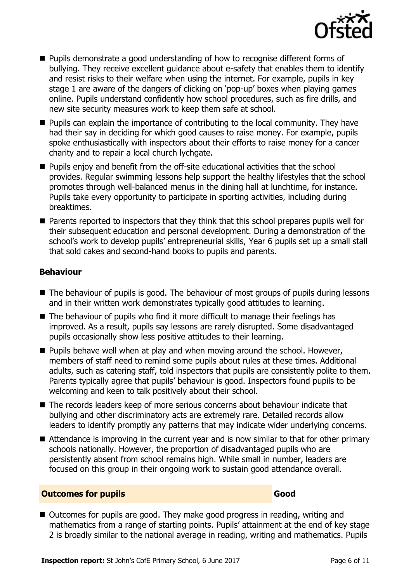

- Pupils demonstrate a good understanding of how to recognise different forms of bullying. They receive excellent guidance about e-safety that enables them to identify and resist risks to their welfare when using the internet. For example, pupils in key stage 1 are aware of the dangers of clicking on 'pop-up' boxes when playing games online. Pupils understand confidently how school procedures, such as fire drills, and new site security measures work to keep them safe at school.
- **Pupils can explain the importance of contributing to the local community. They have** had their say in deciding for which good causes to raise money. For example, pupils spoke enthusiastically with inspectors about their efforts to raise money for a cancer charity and to repair a local church lychgate.
- Pupils enjoy and benefit from the off-site educational activities that the school provides. Regular swimming lessons help support the healthy lifestyles that the school promotes through well-balanced menus in the dining hall at lunchtime, for instance. Pupils take every opportunity to participate in sporting activities, including during breaktimes.
- Parents reported to inspectors that they think that this school prepares pupils well for their subsequent education and personal development. During a demonstration of the school's work to develop pupils' entrepreneurial skills, Year 6 pupils set up a small stall that sold cakes and second-hand books to pupils and parents.

#### **Behaviour**

- The behaviour of pupils is good. The behaviour of most groups of pupils during lessons and in their written work demonstrates typically good attitudes to learning.
- $\blacksquare$  The behaviour of pupils who find it more difficult to manage their feelings has improved. As a result, pupils say lessons are rarely disrupted. Some disadvantaged pupils occasionally show less positive attitudes to their learning.
- **Pupils behave well when at play and when moving around the school. However,** members of staff need to remind some pupils about rules at these times. Additional adults, such as catering staff, told inspectors that pupils are consistently polite to them. Parents typically agree that pupils' behaviour is good. Inspectors found pupils to be welcoming and keen to talk positively about their school.
- The records leaders keep of more serious concerns about behaviour indicate that bullying and other discriminatory acts are extremely rare. Detailed records allow leaders to identify promptly any patterns that may indicate wider underlying concerns.
- Attendance is improving in the current year and is now similar to that for other primary schools nationally. However, the proportion of disadvantaged pupils who are persistently absent from school remains high. While small in number, leaders are focused on this group in their ongoing work to sustain good attendance overall.

#### **Outcomes for pupils Good Good**

■ Outcomes for pupils are good. They make good progress in reading, writing and mathematics from a range of starting points. Pupils' attainment at the end of key stage 2 is broadly similar to the national average in reading, writing and mathematics. Pupils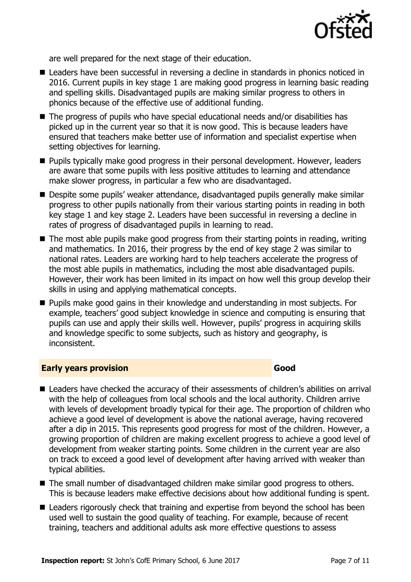

are well prepared for the next stage of their education.

- Leaders have been successful in reversing a decline in standards in phonics noticed in 2016. Current pupils in key stage 1 are making good progress in learning basic reading and spelling skills. Disadvantaged pupils are making similar progress to others in phonics because of the effective use of additional funding.
- The progress of pupils who have special educational needs and/or disabilities has picked up in the current year so that it is now good. This is because leaders have ensured that teachers make better use of information and specialist expertise when setting objectives for learning.
- **Pupils typically make good progress in their personal development. However, leaders** are aware that some pupils with less positive attitudes to learning and attendance make slower progress, in particular a few who are disadvantaged.
- Despite some pupils' weaker attendance, disadvantaged pupils generally make similar progress to other pupils nationally from their various starting points in reading in both key stage 1 and key stage 2. Leaders have been successful in reversing a decline in rates of progress of disadvantaged pupils in learning to read.
- $\blacksquare$  The most able pupils make good progress from their starting points in reading, writing and mathematics. In 2016, their progress by the end of key stage 2 was similar to national rates. Leaders are working hard to help teachers accelerate the progress of the most able pupils in mathematics, including the most able disadvantaged pupils. However, their work has been limited in its impact on how well this group develop their skills in using and applying mathematical concepts.
- Pupils make good gains in their knowledge and understanding in most subjects. For example, teachers' good subject knowledge in science and computing is ensuring that pupils can use and apply their skills well. However, pupils' progress in acquiring skills and knowledge specific to some subjects, such as history and geography, is inconsistent.

#### **Early years provision Good Good**

- Leaders have checked the accuracy of their assessments of children's abilities on arrival with the help of colleagues from local schools and the local authority. Children arrive with levels of development broadly typical for their age. The proportion of children who achieve a good level of development is above the national average, having recovered after a dip in 2015. This represents good progress for most of the children. However, a growing proportion of children are making excellent progress to achieve a good level of development from weaker starting points. Some children in the current year are also on track to exceed a good level of development after having arrived with weaker than typical abilities.
- The small number of disadvantaged children make similar good progress to others. This is because leaders make effective decisions about how additional funding is spent.
- Leaders rigorously check that training and expertise from beyond the school has been used well to sustain the good quality of teaching. For example, because of recent training, teachers and additional adults ask more effective questions to assess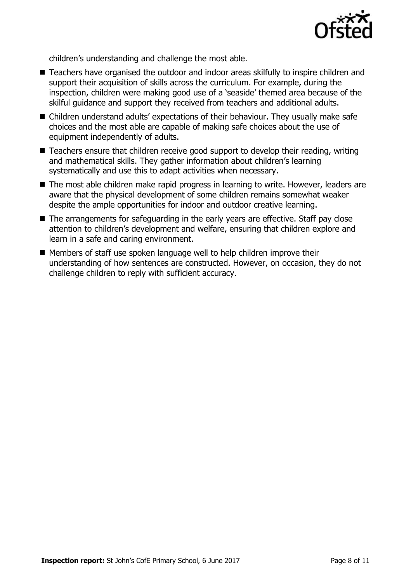

children's understanding and challenge the most able.

- Teachers have organised the outdoor and indoor areas skilfully to inspire children and support their acquisition of skills across the curriculum. For example, during the inspection, children were making good use of a 'seaside' themed area because of the skilful guidance and support they received from teachers and additional adults.
- Children understand adults' expectations of their behaviour. They usually make safe choices and the most able are capable of making safe choices about the use of equipment independently of adults.
- Teachers ensure that children receive good support to develop their reading, writing and mathematical skills. They gather information about children's learning systematically and use this to adapt activities when necessary.
- The most able children make rapid progress in learning to write. However, leaders are aware that the physical development of some children remains somewhat weaker despite the ample opportunities for indoor and outdoor creative learning.
- The arrangements for safeguarding in the early years are effective. Staff pay close attention to children's development and welfare, ensuring that children explore and learn in a safe and caring environment.
- Members of staff use spoken language well to help children improve their understanding of how sentences are constructed. However, on occasion, they do not challenge children to reply with sufficient accuracy.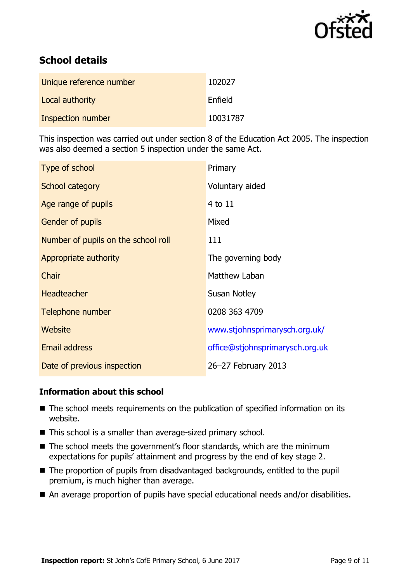

# **School details**

| Unique reference number | 102027   |
|-------------------------|----------|
| Local authority         | Enfield  |
| Inspection number       | 10031787 |

This inspection was carried out under section 8 of the Education Act 2005. The inspection was also deemed a section 5 inspection under the same Act.

| Type of school                      | Primary                         |
|-------------------------------------|---------------------------------|
| School category                     | Voluntary aided                 |
| Age range of pupils                 | 4 to 11                         |
| Gender of pupils                    | Mixed                           |
| Number of pupils on the school roll | 111                             |
| Appropriate authority               | The governing body              |
| Chair                               | Matthew Laban                   |
| <b>Headteacher</b>                  | Susan Notley                    |
| Telephone number                    | 0208 363 4709                   |
| Website                             | www.stjohnsprimarysch.org.uk/   |
| Email address                       | office@stjohnsprimarysch.org.uk |
| Date of previous inspection         | 26-27 February 2013             |

#### **Information about this school**

- The school meets requirements on the publication of specified information on its website.
- This school is a smaller than average-sized primary school.
- The school meets the government's floor standards, which are the minimum expectations for pupils' attainment and progress by the end of key stage 2.
- The proportion of pupils from disadvantaged backgrounds, entitled to the pupil premium, is much higher than average.
- An average proportion of pupils have special educational needs and/or disabilities.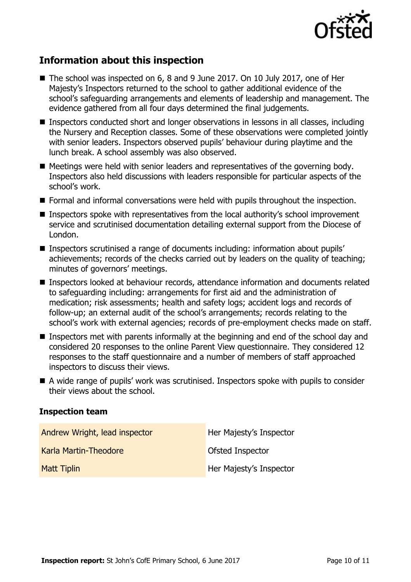

## **Information about this inspection**

- The school was inspected on 6, 8 and 9 June 2017. On 10 July 2017, one of Her Majesty's Inspectors returned to the school to gather additional evidence of the school's safeguarding arrangements and elements of leadership and management. The evidence gathered from all four days determined the final judgements.
- Inspectors conducted short and longer observations in lessons in all classes, including the Nursery and Reception classes. Some of these observations were completed jointly with senior leaders. Inspectors observed pupils' behaviour during playtime and the lunch break. A school assembly was also observed.
- $\blacksquare$  Meetings were held with senior leaders and representatives of the governing body. Inspectors also held discussions with leaders responsible for particular aspects of the school's work.
- Formal and informal conversations were held with pupils throughout the inspection.
- Inspectors spoke with representatives from the local authority's school improvement service and scrutinised documentation detailing external support from the Diocese of London.
- Inspectors scrutinised a range of documents including: information about pupils' achievements; records of the checks carried out by leaders on the quality of teaching; minutes of governors' meetings.
- Inspectors looked at behaviour records, attendance information and documents related to safeguarding including: arrangements for first aid and the administration of medication; risk assessments; health and safety logs; accident logs and records of follow-up; an external audit of the school's arrangements; records relating to the school's work with external agencies; records of pre-employment checks made on staff.
- Inspectors met with parents informally at the beginning and end of the school day and considered 20 responses to the online Parent View questionnaire. They considered 12 responses to the staff questionnaire and a number of members of staff approached inspectors to discuss their views.
- A wide range of pupils' work was scrutinised. Inspectors spoke with pupils to consider their views about the school.

#### **Inspection team**

| Andrew Wright, lead inspector | Her Majesty's Inspector |
|-------------------------------|-------------------------|
| Karla Martin-Theodore         | Ofsted Inspector        |
| <b>Matt Tiplin</b>            | Her Majesty's Inspector |